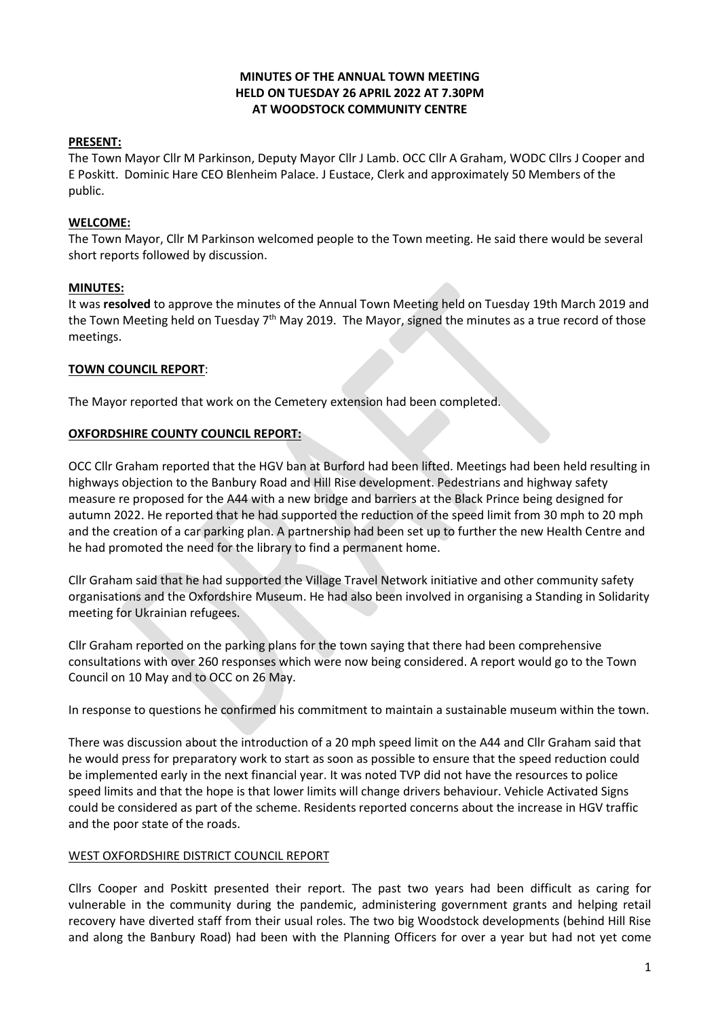## **MINUTES OF THE ANNUAL TOWN MEETING HELD ON TUESDAY 26 APRIL 2022 AT 7.30PM AT WOODSTOCK COMMUNITY CENTRE**

## **PRESENT:**

The Town Mayor Cllr M Parkinson, Deputy Mayor Cllr J Lamb. OCC Cllr A Graham, WODC Cllrs J Cooper and E Poskitt. Dominic Hare CEO Blenheim Palace. J Eustace, Clerk and approximately 50 Members of the public.

## **WELCOME:**

The Town Mayor, Cllr M Parkinson welcomed people to the Town meeting. He said there would be several short reports followed by discussion.

## **MINUTES:**

It was **resolved** to approve the minutes of the Annual Town Meeting held on Tuesday 19th March 2019 and the Town Meeting held on Tuesday 7<sup>th</sup> May 2019. The Mayor, signed the minutes as a true record of those meetings.

## **TOWN COUNCIL REPORT**:

The Mayor reported that work on the Cemetery extension had been completed.

## **OXFORDSHIRE COUNTY COUNCIL REPORT:**

OCC Cllr Graham reported that the HGV ban at Burford had been lifted. Meetings had been held resulting in highways objection to the Banbury Road and Hill Rise development. Pedestrians and highway safety measure re proposed for the A44 with a new bridge and barriers at the Black Prince being designed for autumn 2022. He reported that he had supported the reduction of the speed limit from 30 mph to 20 mph and the creation of a car parking plan. A partnership had been set up to further the new Health Centre and he had promoted the need for the library to find a permanent home.

Cllr Graham said that he had supported the Village Travel Network initiative and other community safety organisations and the Oxfordshire Museum. He had also been involved in organising a Standing in Solidarity meeting for Ukrainian refugees.

Cllr Graham reported on the parking plans for the town saying that there had been comprehensive consultations with over 260 responses which were now being considered. A report would go to the Town Council on 10 May and to OCC on 26 May.

In response to questions he confirmed his commitment to maintain a sustainable museum within the town.

There was discussion about the introduction of a 20 mph speed limit on the A44 and Cllr Graham said that he would press for preparatory work to start as soon as possible to ensure that the speed reduction could be implemented early in the next financial year. It was noted TVP did not have the resources to police speed limits and that the hope is that lower limits will change drivers behaviour. Vehicle Activated Signs could be considered as part of the scheme. Residents reported concerns about the increase in HGV traffic and the poor state of the roads.

#### WEST OXFORDSHIRE DISTRICT COUNCIL REPORT

Cllrs Cooper and Poskitt presented their report. The past two years had been difficult as caring for vulnerable in the community during the pandemic, administering government grants and helping retail recovery have diverted staff from their usual roles. The two big Woodstock developments (behind Hill Rise and along the Banbury Road) had been with the Planning Officers for over a year but had not yet come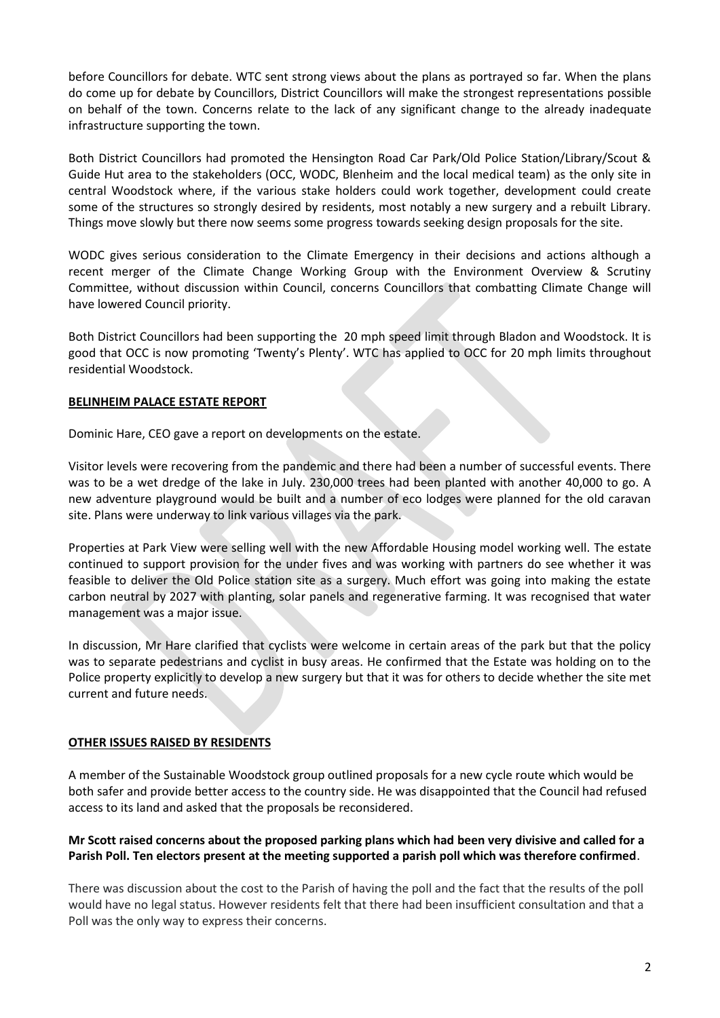before Councillors for debate. WTC sent strong views about the plans as portrayed so far. When the plans do come up for debate by Councillors, District Councillors will make the strongest representations possible on behalf of the town. Concerns relate to the lack of any significant change to the already inadequate infrastructure supporting the town.

Both District Councillors had promoted the Hensington Road Car Park/Old Police Station/Library/Scout & Guide Hut area to the stakeholders (OCC, WODC, Blenheim and the local medical team) as the only site in central Woodstock where, if the various stake holders could work together, development could create some of the structures so strongly desired by residents, most notably a new surgery and a rebuilt Library. Things move slowly but there now seems some progress towards seeking design proposals for the site.

WODC gives serious consideration to the Climate Emergency in their decisions and actions although a recent merger of the Climate Change Working Group with the Environment Overview & Scrutiny Committee, without discussion within Council, concerns Councillors that combatting Climate Change will have lowered Council priority.

Both District Councillors had been supporting the 20 mph speed limit through Bladon and Woodstock. It is good that OCC is now promoting 'Twenty's Plenty'. WTC has applied to OCC for 20 mph limits throughout residential Woodstock.

# **BELINHEIM PALACE ESTATE REPORT**

Dominic Hare, CEO gave a report on developments on the estate.

Visitor levels were recovering from the pandemic and there had been a number of successful events. There was to be a wet dredge of the lake in July. 230,000 trees had been planted with another 40,000 to go. A new adventure playground would be built and a number of eco lodges were planned for the old caravan site. Plans were underway to link various villages via the park.

Properties at Park View were selling well with the new Affordable Housing model working well. The estate continued to support provision for the under fives and was working with partners do see whether it was feasible to deliver the Old Police station site as a surgery. Much effort was going into making the estate carbon neutral by 2027 with planting, solar panels and regenerative farming. It was recognised that water management was a major issue.

In discussion, Mr Hare clarified that cyclists were welcome in certain areas of the park but that the policy was to separate pedestrians and cyclist in busy areas. He confirmed that the Estate was holding on to the Police property explicitly to develop a new surgery but that it was for others to decide whether the site met current and future needs.

# **OTHER ISSUES RAISED BY RESIDENTS**

A member of the Sustainable Woodstock group outlined proposals for a new cycle route which would be both safer and provide better access to the country side. He was disappointed that the Council had refused access to its land and asked that the proposals be reconsidered.

## **Mr Scott raised concerns about the proposed parking plans which had been very divisive and called for a Parish Poll. Ten electors present at the meeting supported a parish poll which was therefore confirmed**.

There was discussion about the cost to the Parish of having the poll and the fact that the results of the poll would have no legal status. However residents felt that there had been insufficient consultation and that a Poll was the only way to express their concerns.